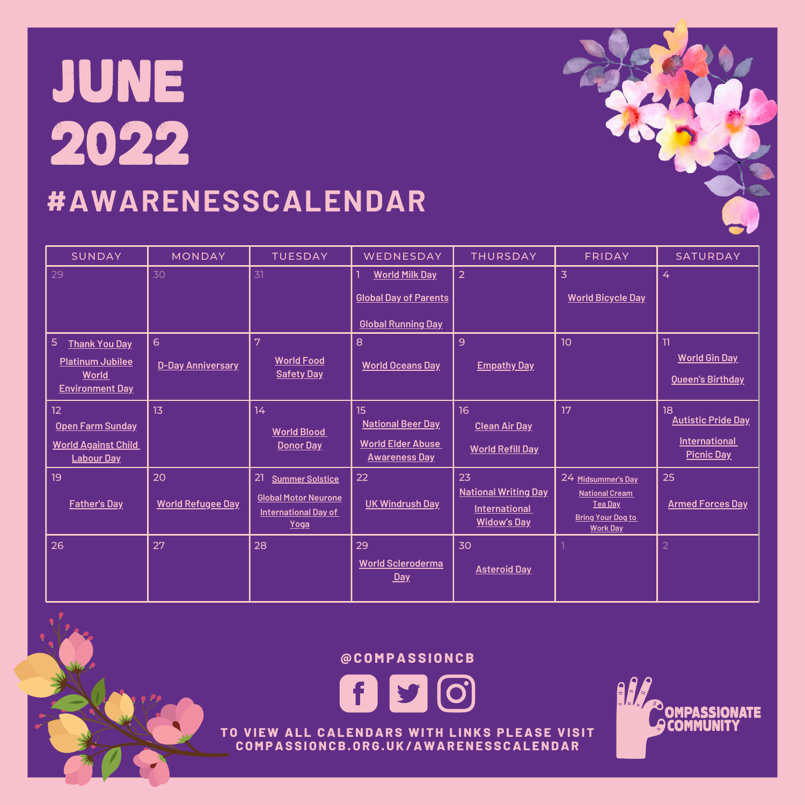## JUNE 2022 **#AWARENESSCALENDAR**

26 SUNDAY | MONDAY | TUESDAY ||WEDNESDAY | THURSDAY || FRIDAY || SATURDAY 29 30 30 31 1 2 3 4 **[World](https://worldmilkday.org/) Milk Day** 5 <u>[Thank](https://www.worldenvironmentday.global/) You Day</u> | 6 | 7 | 8 | 9 | 10 | 11 12 13 | 13 | 14 | 15 | 16 | 16 | 17 | 17 | 18 | 18 27 28 29 30 1 2 19 20 21 22 23 24 25 **[Midsummer's](http://projectbritain.com/midsummer.htm) Day Global Day of [Parents](https://www.upf.org/united-nations/global-day-of-parents) Global [Running](https://en.wikipedia.org/wiki/Global_Running_Day) Day World [Bicycle](https://www.un.org/en/observances/bicycle-day) Day [Asteroid](https://asteroidday.org/) Day World [Against](https://www.un.org/en/observances/world-day-against-child-labour) Child [Labour](https://www.un.org/en/observances/world-day-against-child-labour) Day Armed [Forces](https://www.armedforcesday.org.uk/) Day [Bring](https://www.bringyourdogtoworkday.co.uk/) Your Dog t[o](https://www.bringyourdogtoworkday.co.uk/) [Work](https://www.bringyourdogtoworkday.co.uk/) Day [National](https://www.creamteasociety.co.uk/national-cream-tea-day) Cream Tea [Day](https://www.creamteasociety.co.uk/national-cream-tea-day) [International](https://www.un.org/en/observances/widows-day) [Widow's](https://www.un.org/en/observances/widows-day) Day [National](https://firststory.org.uk/writeday/) Writing Day Global Motor [Neurone](https://www.mndassociation.org/about-us/who-we-are/mnd-awareness-day/) [International](https://www.un.org/en/observances/yoga-day) Day o[f](https://www.un.org/en/observances/yoga-day) [Yoga](https://www.un.org/en/observances/yoga-day) [Father's](https://www.history.com/topics/holidays/fathers-day) Day World [Refugee](https://www.un.org/en/observances/refugee-day) Day [Summer](https://www.almanac.com/content/first-day-summer-summer-solstice) Solstice [Clean](https://www.actionforcleanair.org.uk/campaigns/clean-air-day) Air Day [World](https://www.refill.org.uk/world-refill-day/) Refill Day [National](https://www.beerdaybritain.co.uk/) Beer Day World Elder [Abuse](https://www.un.org/en/observances/elder-abuse-awareness-day) [Awareness](https://www.un.org/en/observances/elder-abuse-awareness-day) Day [World](https://www.who.int/campaigns/world-blood-donor-day) Bloo[d](https://www.who.int/campaigns/world-blood-donor-day) [Donor](https://www.who.int/campaigns/world-blood-donor-day) Day [World](https://worldginday.com/) Gin Day Open Farm [Sunday](https://farmsunday.org/) World Food World [Oceans](https://worldoceanday.org/) Day [Empathy](https://www.empathylab.uk/empathy-day) Day [Safety](https://www.un.org/en/observances/food-safety-day) Day [Platinum](https://platinumjubilee.gov.uk/get-involved-with-the-platinum-jubilee/) Jubilee D-Day [Anniversary](https://www.history.com/topics/world-war-ii/d-day) [World](https://www.worldenvironmentday.global/) [Environment](https://www.worldenvironmentday.global/) Day World [Scleroderma](https://www.sruk.co.uk/get-involved/awareness-events/wsd/) [Day](https://www.sruk.co.uk/get-involved/awareness-events/wsd/) [Autistic](https://en.wikipedia.org/wiki/Autistic_Pride_Day) Pride Day UK [Windrush](https://en.wikipedia.org/wiki/Windrush_Day) Day Queen's [Birthday](http://www.thereisadayforthat.com/holidays/united-kingdom/queens-birthday-gb) [International](https://en.wikipedia.org/wiki/Autistic_Pride_Day) [Picnic](https://en.wikipedia.org/wiki/Autistic_Pride_Day) Day**

**@ CO M PAS S IONCB**



**TO VI E W AL L CAL [ENDARS](http://www.compassioncb.org.uk/awarenesscalendar) W I TH L INKS P L EAS E VI S I T CO M PAS S [IONCB.ORG.UK/A](http://www.compassioncb.org.uk/awarenesscalendar) W ARENE S SCAL ENDAR**